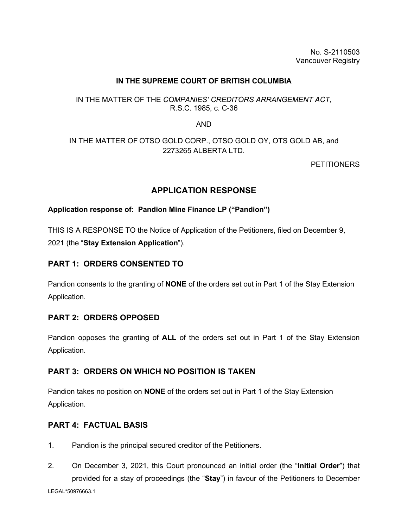No. S-2110503 Vancouver Registry

#### **IN THE SUPREME COURT OF BRITISH COLUMBIA**

## IN THE MATTER OF THE *COMPANIES' CREDITORS ARRANGEMENT ACT*, R.S.C. 1985, c. C-36

AND

# IN THE MATTER OF OTSO GOLD CORP., OTSO GOLD OY, OTS GOLD AB, and 2273265 ALBERTA LTD.

**PETITIONERS** 

# **APPLICATION RESPONSE**

#### **Application response of: Pandion Mine Finance LP ("Pandion")**

THIS IS A RESPONSE TO the Notice of Application of the Petitioners, filed on December 9, 2021 (the "**Stay Extension Application**").

# **PART 1: ORDERS CONSENTED TO**

Pandion consents to the granting of **NONE** of the orders set out in Part 1 of the Stay Extension Application.

## **PART 2: ORDERS OPPOSED**

Pandion opposes the granting of **ALL** of the orders set out in Part 1 of the Stay Extension Application.

## **PART 3: ORDERS ON WHICH NO POSITION IS TAKEN**

Pandion takes no position on **NONE** of the orders set out in Part 1 of the Stay Extension Application.

## **PART 4: FACTUAL BASIS**

- 1. Pandion is the principal secured creditor of the Petitioners.
- 2. On December 3, 2021, this Court pronounced an initial order (the "**Initial Order**") that provided for a stay of proceedings (the "**Stay**") in favour of the Petitioners to December

LEGAL\*50976663.1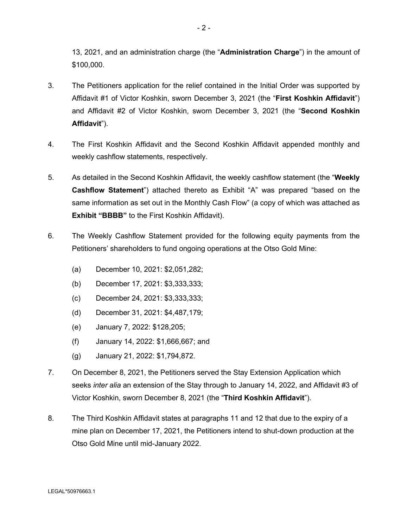13, 2021, and an administration charge (the "**Administration Charge**") in the amount of \$100,000.

- 3. The Petitioners application for the relief contained in the Initial Order was supported by Affidavit #1 of Victor Koshkin, sworn December 3, 2021 (the "**First Koshkin Affidavit**") and Affidavit #2 of Victor Koshkin, sworn December 3, 2021 (the "**Second Koshkin Affidavit**").
- 4. The First Koshkin Affidavit and the Second Koshkin Affidavit appended monthly and weekly cashflow statements, respectively.
- 5. As detailed in the Second Koshkin Affidavit, the weekly cashflow statement (the "**Weekly Cashflow Statement**") attached thereto as Exhibit "A" was prepared "based on the same information as set out in the Monthly Cash Flow" (a copy of which was attached as **Exhibit "BBBB"** to the First Koshkin Affidavit).
- 6. The Weekly Cashflow Statement provided for the following equity payments from the Petitioners' shareholders to fund ongoing operations at the Otso Gold Mine:
	- (a) December 10, 2021: \$2,051,282;
	- (b) December 17, 2021: \$3,333,333;
	- (c) December 24, 2021: \$3,333,333;
	- (d) December 31, 2021: \$4,487,179;
	- (e) January 7, 2022: \$128,205;
	- (f) January 14, 2022: \$1,666,667; and
	- (g) January 21, 2022: \$1,794,872.
- 7. On December 8, 2021, the Petitioners served the Stay Extension Application which seeks *inter alia* an extension of the Stay through to January 14, 2022, and Affidavit #3 of Victor Koshkin, sworn December 8, 2021 (the "**Third Koshkin Affidavit**").
- 8. The Third Koshkin Affidavit states at paragraphs 11 and 12 that due to the expiry of a mine plan on December 17, 2021, the Petitioners intend to shut-down production at the Otso Gold Mine until mid-January 2022.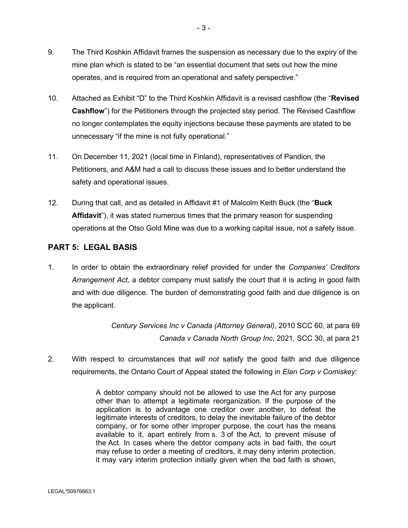- 9. The Third Koshkin Affidavit frames the suspension as necessary due to the expiry of the mine plan which is stated to be "an essential document that sets out how the mine operates, and is required from an operational and safety perspective."
- 10. Attached as Exhibit "D" to the Third Koshkin Affidavit is a revised cashflow (the "**Revised Cashflow**") for the Petitioners through the projected stay period. The Revised Cashflow no longer contemplates the equity injections because these payments are stated to be unnecessary "if the mine is not fully operational."
- 11. On December 11, 2021 (local time in Finland), representatives of Pandion, the Petitioners, and A&M had a call to discuss these issues and to better understand the safety and operational issues.
- 12. During that call, and as detailed in Affidavit #1 of Malcolm Keith Buck (the "**Buck Affidavit**"), it was stated numerous times that the primary reason for suspending operations at the Otso Gold Mine was due to a working capital issue, not a safety issue.

## **PART 5: LEGAL BASIS**

1. In order to obtain the extraordinary relief provided for under the *Companies' Creditors Arrangement Act,* a debtor company must satisfy the court that it is acting in good faith and with due diligence. The burden of demonstrating good faith and due diligence is on the applicant.

> *Century Services Inc v Canada (Attorney General)*, 2010 SCC 60, at para 69 *Canada v Canada North Group Inc*, 2021, SCC 30, at para 21

2. With respect to circumstances that *will not* satisfy the good faith and due diligence requirements, the Ontario Court of Appeal stated the following in *Elan Corp v Comiskey*:

> A debtor company should not be allowed to use the [Act](https://www.canlii.org/en/ca/laws/stat/rsc-1985-c-c-36/latest/rsc-1985-c-c-36.html) for any purpose other than to attempt a legitimate reorganization. If the purpose of the application is to advantage one creditor over another, to defeat the legitimate interests of creditors, to delay the inevitable failure of the debtor company, or for some other improper purpose, the court has the means available to it, apart entirely from s. 3 of the [Act](https://www.canlii.org/en/ca/laws/stat/rsc-1985-c-c-36/latest/rsc-1985-c-c-36.html), to prevent misuse of the [Act](https://www.canlii.org/en/ca/laws/stat/rsc-1985-c-c-36/latest/rsc-1985-c-c-36.html). In cases where the debtor company acts in bad faith, the court may refuse to order a meeting of creditors, it may deny interim protection, it may vary interim protection initially given when the bad faith is shown,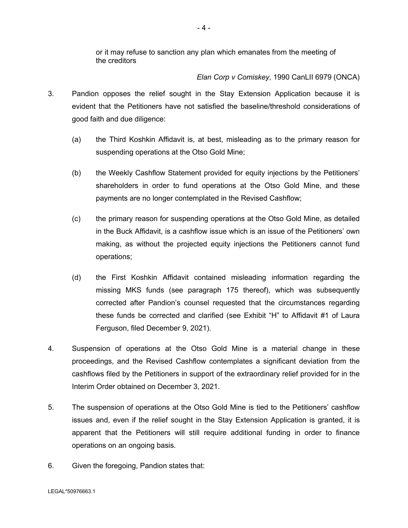or it may refuse to sanction any plan which emanates from the meeting of the creditors

#### *Elan Corp v Comiskey*, 1990 CanLII 6979 (ONCA)

- 3. Pandion opposes the relief sought in the Stay Extension Application because it is evident that the Petitioners have not satisfied the baseline/threshold considerations of good faith and due diligence:
	- (a) the Third Koshkin Affidavit is, at best, misleading as to the primary reason for suspending operations at the Otso Gold Mine;
	- (b) the Weekly Cashflow Statement provided for equity injections by the Petitioners' shareholders in order to fund operations at the Otso Gold Mine, and these payments are no longer contemplated in the Revised Cashflow;
	- (c) the primary reason for suspending operations at the Otso Gold Mine, as detailed in the Buck Affidavit, is a cashflow issue which is an issue of the Petitioners' own making, as without the projected equity injections the Petitioners cannot fund operations;
	- (d) the First Koshkin Affidavit contained misleading information regarding the missing MKS funds (see paragraph 175 thereof), which was subsequently corrected after Pandion's counsel requested that the circumstances regarding these funds be corrected and clarified (see Exhibit "H" to Affidavit #1 of Laura Ferguson, filed December 9, 2021).
- 4. Suspension of operations at the Otso Gold Mine is a material change in these proceedings, and the Revised Cashflow contemplates a significant deviation from the cashflows filed by the Petitioners in support of the extraordinary relief provided for in the Interim Order obtained on December 3, 2021.
- 5. The suspension of operations at the Otso Gold Mine is tied to the Petitioners' cashflow issues and, even if the relief sought in the Stay Extension Application is granted, it is apparent that the Petitioners will still require additional funding in order to finance operations on an ongoing basis.
- 6. Given the foregoing, Pandion states that: